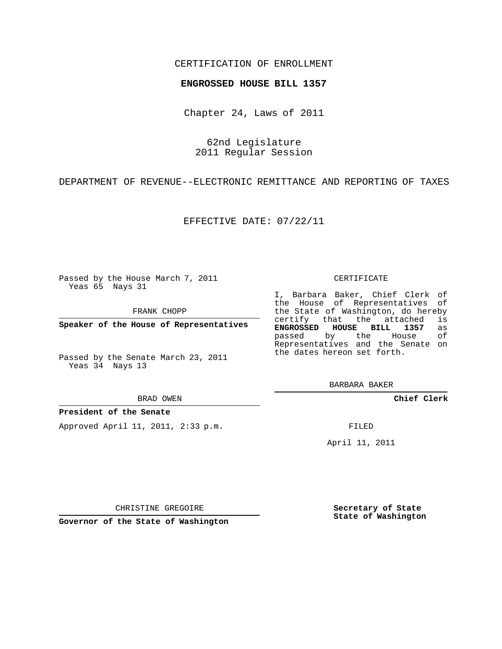## CERTIFICATION OF ENROLLMENT

### **ENGROSSED HOUSE BILL 1357**

Chapter 24, Laws of 2011

62nd Legislature 2011 Regular Session

DEPARTMENT OF REVENUE--ELECTRONIC REMITTANCE AND REPORTING OF TAXES

EFFECTIVE DATE: 07/22/11

Passed by the House March 7, 2011 Yeas 65 Nays 31

FRANK CHOPP

**Speaker of the House of Representatives**

Passed by the Senate March 23, 2011 Yeas 34 Nays 13

#### BRAD OWEN

### **President of the Senate**

Approved April 11, 2011, 2:33 p.m.

#### CERTIFICATE

I, Barbara Baker, Chief Clerk of the House of Representatives of the State of Washington, do hereby<br>certify that the attached is certify that the attached is<br>**ENGROSSED HOUSE BILL 1357** as **ENGROSSED HOUSE BILL 1357** as passed by the House Representatives and the Senate on the dates hereon set forth.

BARBARA BAKER

**Chief Clerk**

FILED

April 11, 2011

**Secretary of State State of Washington**

CHRISTINE GREGOIRE

**Governor of the State of Washington**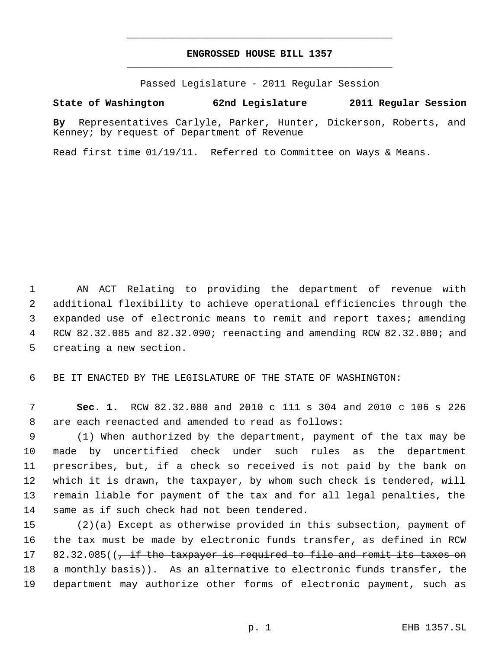# **ENGROSSED HOUSE BILL 1357** \_\_\_\_\_\_\_\_\_\_\_\_\_\_\_\_\_\_\_\_\_\_\_\_\_\_\_\_\_\_\_\_\_\_\_\_\_\_\_\_\_\_\_\_\_

\_\_\_\_\_\_\_\_\_\_\_\_\_\_\_\_\_\_\_\_\_\_\_\_\_\_\_\_\_\_\_\_\_\_\_\_\_\_\_\_\_\_\_\_\_

Passed Legislature - 2011 Regular Session

# **State of Washington 62nd Legislature 2011 Regular Session**

**By** Representatives Carlyle, Parker, Hunter, Dickerson, Roberts, and Kenney; by request of Department of Revenue

Read first time 01/19/11. Referred to Committee on Ways & Means.

 AN ACT Relating to providing the department of revenue with additional flexibility to achieve operational efficiencies through the expanded use of electronic means to remit and report taxes; amending RCW 82.32.085 and 82.32.090; reenacting and amending RCW 82.32.080; and creating a new section.

BE IT ENACTED BY THE LEGISLATURE OF THE STATE OF WASHINGTON:

 **Sec. 1.** RCW 82.32.080 and 2010 c 111 s 304 and 2010 c 106 s 226 are each reenacted and amended to read as follows:

 (1) When authorized by the department, payment of the tax may be made by uncertified check under such rules as the department prescribes, but, if a check so received is not paid by the bank on which it is drawn, the taxpayer, by whom such check is tendered, will remain liable for payment of the tax and for all legal penalties, the same as if such check had not been tendered.

 (2)(a) Except as otherwise provided in this subsection, payment of the tax must be made by electronic funds transfer, as defined in RCW 17 82.32.085((<del>, if the taxpayer is required to file and remit its taxes on</del> 18 a monthly basis)). As an alternative to electronic funds transfer, the department may authorize other forms of electronic payment, such as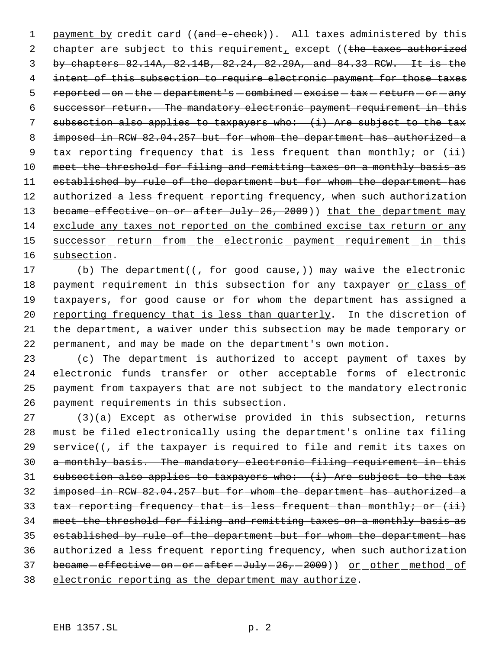1 payment by credit card ((and e-check)). All taxes administered by this 2 chapter are subject to this requirement, except ((the taxes authorized 3 by chapters 82.14A, 82.14B, 82.24, 82.29A, and 84.33 RCW. It is the 4 intent of this subsection to require electronic payment for those taxes 5 reported - on - the - department's - combined - excise - tax - return - or - any 6 successor return. The mandatory electronic payment requirement in this 7 subsection also applies to taxpayers who: (i) Are subject to the tax 8 imposed in RCW 82.04.257 but for whom the department has authorized a 9 tax reporting frequency that is less frequent than monthly; or (ii) 10 meet the threshold for filing and remitting taxes on a monthly basis as 11 established by rule of the department but for whom the department has 12 authorized a less frequent reporting frequency, when such authorization 13 became effective on or after July 26, 2009)) that the department may 14 exclude any taxes not reported on the combined excise tax return or any 15 successor return from the electronic payment requirement in this 16 subsection.

17 (b) The department( $(\frac{1}{r}$  for good cause,)) may waive the electronic 18 payment requirement in this subsection for any taxpayer or class of 19 taxpayers, for good cause or for whom the department has assigned a 20 reporting frequency that is less than quarterly. In the discretion of 21 the department, a waiver under this subsection may be made temporary or 22 permanent, and may be made on the department's own motion.

 (c) The department is authorized to accept payment of taxes by electronic funds transfer or other acceptable forms of electronic payment from taxpayers that are not subject to the mandatory electronic payment requirements in this subsection.

 (3)(a) Except as otherwise provided in this subsection, returns must be filed electronically using the department's online tax filing 29 service( $\sqrt{t}$  if the taxpayer is required to file and remit its taxes on a monthly basis. The mandatory electronic filing requirement in this subsection also applies to taxpayers who: (i) Are subject to the tax imposed in RCW 82.04.257 but for whom the department has authorized a 33 tax reporting frequency that is less frequent than monthly; or (ii) meet the threshold for filing and remitting taxes on a monthly basis as established by rule of the department but for whom the department has authorized a less frequent reporting frequency, when such authorization 37 became-effective-on-or-after-July-26,-2009)) or other method of electronic reporting as the department may authorize.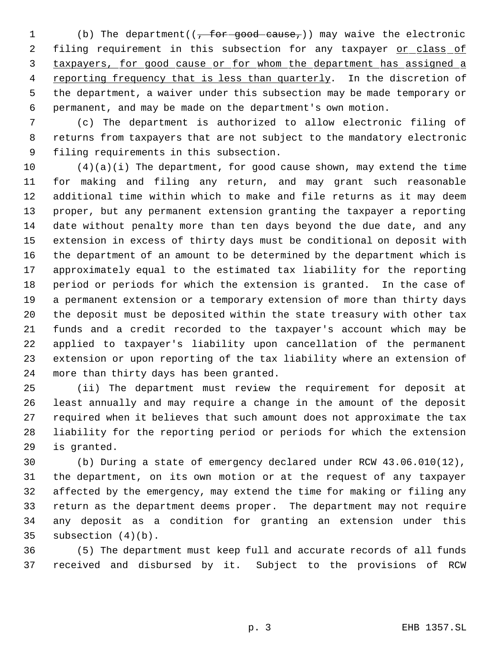1 (b) The department( $(\frac{1}{f} + 6r - \frac{1}{f})$  may waive the electronic 2 filing requirement in this subsection for any taxpayer or class of taxpayers, for good cause or for whom the department has assigned a reporting frequency that is less than quarterly. In the discretion of the department, a waiver under this subsection may be made temporary or permanent, and may be made on the department's own motion.

 (c) The department is authorized to allow electronic filing of returns from taxpayers that are not subject to the mandatory electronic filing requirements in this subsection.

 $(4)(a)(i)$  The department, for good cause shown, may extend the time for making and filing any return, and may grant such reasonable additional time within which to make and file returns as it may deem proper, but any permanent extension granting the taxpayer a reporting date without penalty more than ten days beyond the due date, and any extension in excess of thirty days must be conditional on deposit with the department of an amount to be determined by the department which is approximately equal to the estimated tax liability for the reporting period or periods for which the extension is granted. In the case of a permanent extension or a temporary extension of more than thirty days the deposit must be deposited within the state treasury with other tax funds and a credit recorded to the taxpayer's account which may be applied to taxpayer's liability upon cancellation of the permanent extension or upon reporting of the tax liability where an extension of more than thirty days has been granted.

 (ii) The department must review the requirement for deposit at least annually and may require a change in the amount of the deposit required when it believes that such amount does not approximate the tax liability for the reporting period or periods for which the extension is granted.

 (b) During a state of emergency declared under RCW 43.06.010(12), the department, on its own motion or at the request of any taxpayer affected by the emergency, may extend the time for making or filing any return as the department deems proper. The department may not require any deposit as a condition for granting an extension under this subsection (4)(b).

 (5) The department must keep full and accurate records of all funds received and disbursed by it. Subject to the provisions of RCW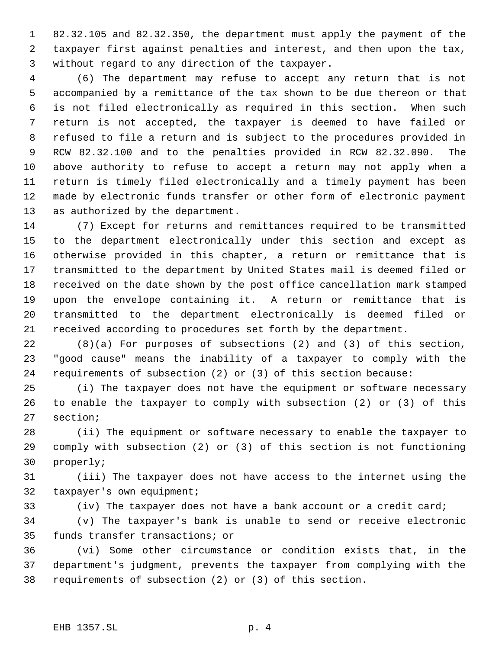82.32.105 and 82.32.350, the department must apply the payment of the taxpayer first against penalties and interest, and then upon the tax, without regard to any direction of the taxpayer.

 (6) The department may refuse to accept any return that is not accompanied by a remittance of the tax shown to be due thereon or that is not filed electronically as required in this section. When such return is not accepted, the taxpayer is deemed to have failed or refused to file a return and is subject to the procedures provided in RCW 82.32.100 and to the penalties provided in RCW 82.32.090. The above authority to refuse to accept a return may not apply when a return is timely filed electronically and a timely payment has been made by electronic funds transfer or other form of electronic payment as authorized by the department.

 (7) Except for returns and remittances required to be transmitted to the department electronically under this section and except as otherwise provided in this chapter, a return or remittance that is transmitted to the department by United States mail is deemed filed or received on the date shown by the post office cancellation mark stamped upon the envelope containing it. A return or remittance that is transmitted to the department electronically is deemed filed or received according to procedures set forth by the department.

 (8)(a) For purposes of subsections (2) and (3) of this section, "good cause" means the inability of a taxpayer to comply with the requirements of subsection (2) or (3) of this section because:

 (i) The taxpayer does not have the equipment or software necessary to enable the taxpayer to comply with subsection (2) or (3) of this section;

 (ii) The equipment or software necessary to enable the taxpayer to comply with subsection (2) or (3) of this section is not functioning properly;

 (iii) The taxpayer does not have access to the internet using the taxpayer's own equipment;

(iv) The taxpayer does not have a bank account or a credit card;

 (v) The taxpayer's bank is unable to send or receive electronic funds transfer transactions; or

 (vi) Some other circumstance or condition exists that, in the department's judgment, prevents the taxpayer from complying with the requirements of subsection (2) or (3) of this section.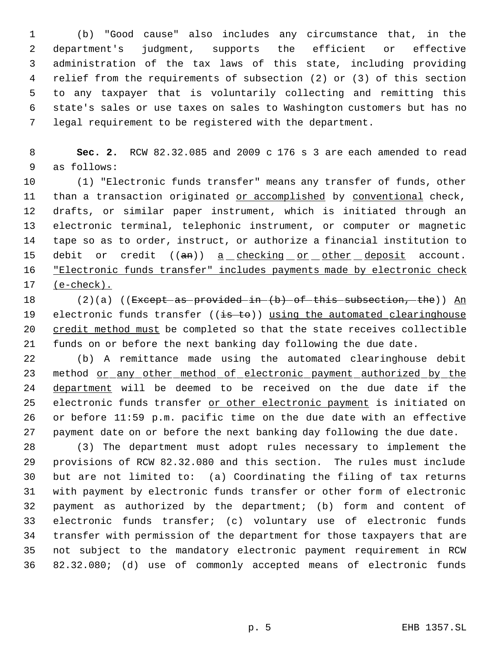(b) "Good cause" also includes any circumstance that, in the department's judgment, supports the efficient or effective administration of the tax laws of this state, including providing relief from the requirements of subsection (2) or (3) of this section to any taxpayer that is voluntarily collecting and remitting this state's sales or use taxes on sales to Washington customers but has no legal requirement to be registered with the department.

 **Sec. 2.** RCW 82.32.085 and 2009 c 176 s 3 are each amended to read as follows:

 (1) "Electronic funds transfer" means any transfer of funds, other 11 than a transaction originated or accomplished by conventional check, drafts, or similar paper instrument, which is initiated through an electronic terminal, telephonic instrument, or computer or magnetic tape so as to order, instruct, or authorize a financial institution to 15 debit or credit ((an)) a checking or other deposit account. 16 "Electronic funds transfer" includes payments made by electronic check (e-check).

18 (2)(a) ((Except as provided in (b) of this subsection, the)) An 19 electronic funds transfer ((is to)) using the automated clearinghouse credit method must be completed so that the state receives collectible funds on or before the next banking day following the due date.

 (b) A remittance made using the automated clearinghouse debit 23 method <u>or any other method of electronic payment authorized by the</u> department will be deemed to be received on the due date if the electronic funds transfer or other electronic payment is initiated on or before 11:59 p.m. pacific time on the due date with an effective payment date on or before the next banking day following the due date.

 (3) The department must adopt rules necessary to implement the provisions of RCW 82.32.080 and this section. The rules must include but are not limited to: (a) Coordinating the filing of tax returns with payment by electronic funds transfer or other form of electronic payment as authorized by the department; (b) form and content of electronic funds transfer; (c) voluntary use of electronic funds transfer with permission of the department for those taxpayers that are not subject to the mandatory electronic payment requirement in RCW 82.32.080; (d) use of commonly accepted means of electronic funds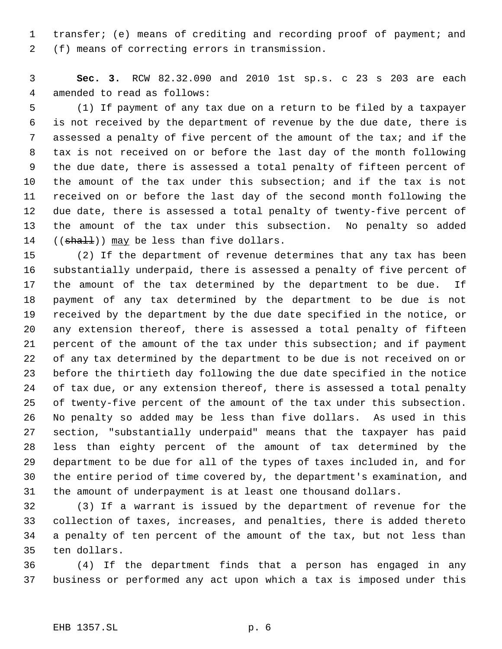transfer; (e) means of crediting and recording proof of payment; and (f) means of correcting errors in transmission.

 **Sec. 3.** RCW 82.32.090 and 2010 1st sp.s. c 23 s 203 are each amended to read as follows:

 (1) If payment of any tax due on a return to be filed by a taxpayer is not received by the department of revenue by the due date, there is assessed a penalty of five percent of the amount of the tax; and if the tax is not received on or before the last day of the month following the due date, there is assessed a total penalty of fifteen percent of the amount of the tax under this subsection; and if the tax is not received on or before the last day of the second month following the due date, there is assessed a total penalty of twenty-five percent of the amount of the tax under this subsection. No penalty so added 14 ((shall)) may be less than five dollars.

 (2) If the department of revenue determines that any tax has been substantially underpaid, there is assessed a penalty of five percent of the amount of the tax determined by the department to be due. If payment of any tax determined by the department to be due is not received by the department by the due date specified in the notice, or any extension thereof, there is assessed a total penalty of fifteen percent of the amount of the tax under this subsection; and if payment of any tax determined by the department to be due is not received on or before the thirtieth day following the due date specified in the notice of tax due, or any extension thereof, there is assessed a total penalty of twenty-five percent of the amount of the tax under this subsection. No penalty so added may be less than five dollars. As used in this section, "substantially underpaid" means that the taxpayer has paid less than eighty percent of the amount of tax determined by the department to be due for all of the types of taxes included in, and for the entire period of time covered by, the department's examination, and the amount of underpayment is at least one thousand dollars.

 (3) If a warrant is issued by the department of revenue for the collection of taxes, increases, and penalties, there is added thereto a penalty of ten percent of the amount of the tax, but not less than ten dollars.

 (4) If the department finds that a person has engaged in any business or performed any act upon which a tax is imposed under this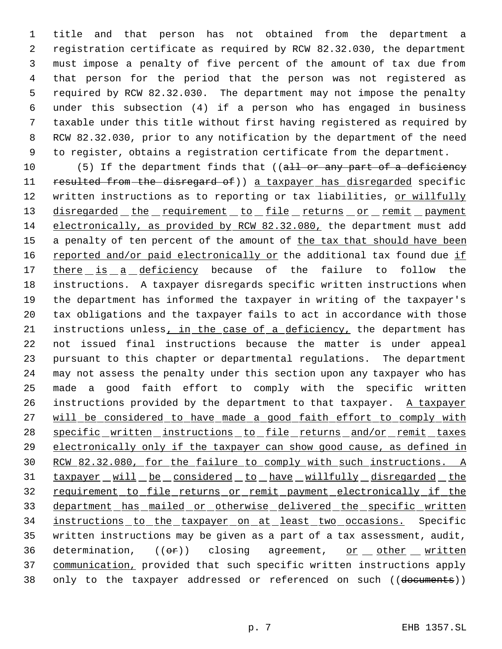title and that person has not obtained from the department a registration certificate as required by RCW 82.32.030, the department must impose a penalty of five percent of the amount of tax due from that person for the period that the person was not registered as required by RCW 82.32.030. The department may not impose the penalty under this subsection (4) if a person who has engaged in business taxable under this title without first having registered as required by RCW 82.32.030, prior to any notification by the department of the need to register, obtains a registration certificate from the department.

10 (5) If the department finds that ((all or any part of a deficiency 11 resulted from the disregard of)) a taxpayer has disregarded specific 12 written instructions as to reporting or tax liabilities, or willfully 13 disregarded the requirement to file returns or remit payment 14 electronically, as provided by RCW 82.32.080, the department must add 15 a penalty of ten percent of the amount of the tax that should have been 16 reported and/or paid electronically or the additional tax found due if 17 there is a deficiency because of the failure to follow the 18 instructions. A taxpayer disregards specific written instructions when 19 the department has informed the taxpayer in writing of the taxpayer's 20 tax obligations and the taxpayer fails to act in accordance with those 21 instructions unless, in the case of a deficiency, the department has 22 not issued final instructions because the matter is under appeal 23 pursuant to this chapter or departmental regulations. The department 24 may not assess the penalty under this section upon any taxpayer who has 25 made a good faith effort to comply with the specific written 26 instructions provided by the department to that taxpayer. A taxpayer 27 will be considered to have made a good faith effort to comply with 28 specific written instructions to file returns and/or remit taxes 29 electronically only if the taxpayer can show good cause, as defined in 30 RCW 82.32.080, for the failure to comply with such instructions. A 31 taxpayer will be considered to have willfully disregarded the 32 requirement to file returns or remit payment electronically if the 33 department has mailed or otherwise delivered the specific written 34 instructions to the taxpayer on at least two occasions. Specific 35 written instructions may be given as a part of a tax assessment, audit, 36 determination,  $((\theta \cdot \mathbf{r}))$  closing agreement, or other written 37 communication, provided that such specific written instructions apply 38 only to the taxpayer addressed or referenced on such ((documents))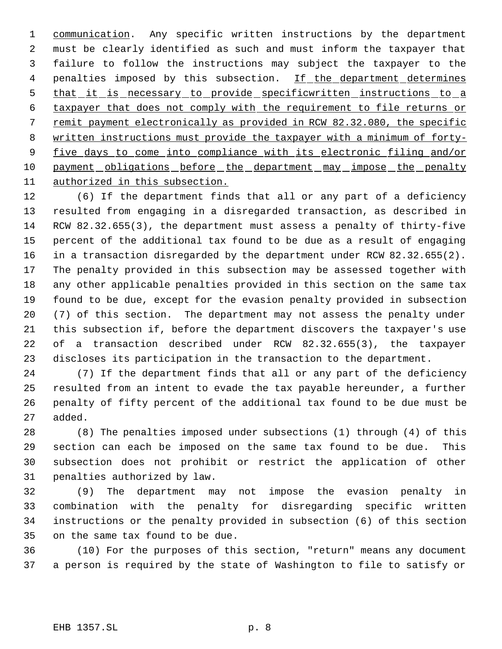1 communication. Any specific written instructions by the department must be clearly identified as such and must inform the taxpayer that failure to follow the instructions may subject the taxpayer to the 4 penalties imposed by this subsection. If the department determines 5 that it is necessary to provide specificwritten instructions to a taxpayer that does not comply with the requirement to file returns or remit payment electronically as provided in RCW 82.32.080, the specific written instructions must provide the taxpayer with a minimum of forty- five days to come into compliance with its electronic filing and/or 10 payment obligations before the department may impose the penalty authorized in this subsection.

 (6) If the department finds that all or any part of a deficiency resulted from engaging in a disregarded transaction, as described in RCW 82.32.655(3), the department must assess a penalty of thirty-five percent of the additional tax found to be due as a result of engaging in a transaction disregarded by the department under RCW 82.32.655(2). The penalty provided in this subsection may be assessed together with any other applicable penalties provided in this section on the same tax found to be due, except for the evasion penalty provided in subsection (7) of this section. The department may not assess the penalty under this subsection if, before the department discovers the taxpayer's use of a transaction described under RCW 82.32.655(3), the taxpayer discloses its participation in the transaction to the department.

 (7) If the department finds that all or any part of the deficiency resulted from an intent to evade the tax payable hereunder, a further penalty of fifty percent of the additional tax found to be due must be added.

 (8) The penalties imposed under subsections (1) through (4) of this section can each be imposed on the same tax found to be due. This subsection does not prohibit or restrict the application of other penalties authorized by law.

 (9) The department may not impose the evasion penalty in combination with the penalty for disregarding specific written instructions or the penalty provided in subsection (6) of this section on the same tax found to be due.

 (10) For the purposes of this section, "return" means any document a person is required by the state of Washington to file to satisfy or